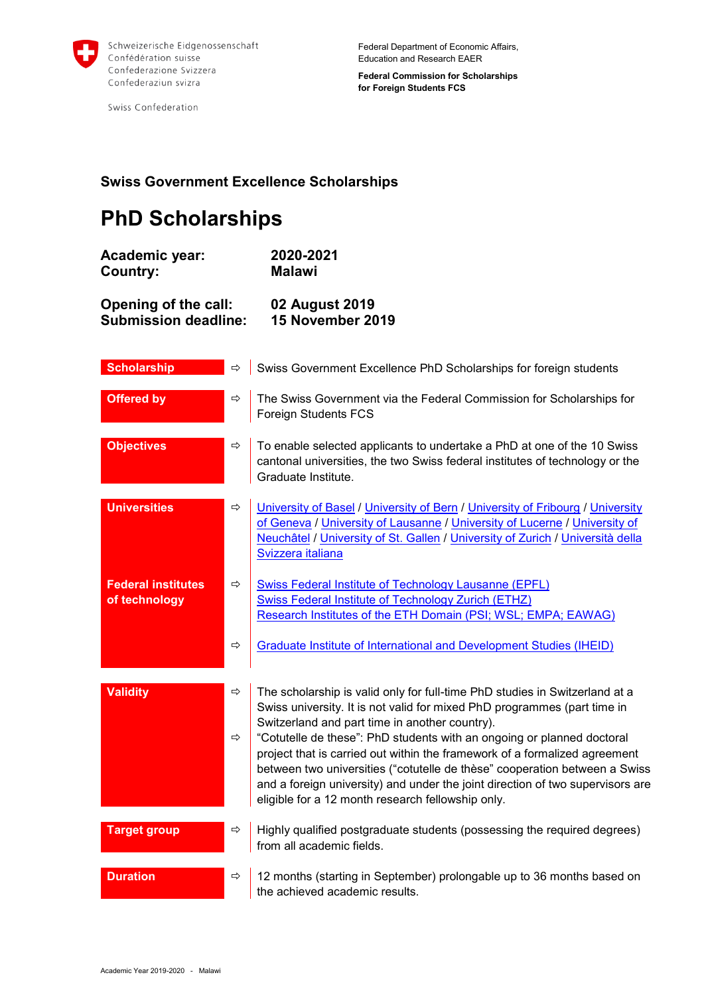

Swiss Confederation

**Federal Commission for Scholarships for Foreign Students FCS**

## **Swiss Government Excellence Scholarships**

## **PhD Scholarships**

| <b>Academic year:</b>       | 2020-2021               |
|-----------------------------|-------------------------|
| Country:                    | <b>Malawi</b>           |
| Opening of the call:        | 02 August 2019          |
| <b>Submission deadline:</b> | <b>15 November 2019</b> |

| <b>Scholarship</b>                         | ⇨                  | Swiss Government Excellence PhD Scholarships for foreign students                                                                                                                                                                                                                                                                                                                                                                                                                                                                                                                      |
|--------------------------------------------|--------------------|----------------------------------------------------------------------------------------------------------------------------------------------------------------------------------------------------------------------------------------------------------------------------------------------------------------------------------------------------------------------------------------------------------------------------------------------------------------------------------------------------------------------------------------------------------------------------------------|
| <b>Offered by</b>                          | ⇨                  | The Swiss Government via the Federal Commission for Scholarships for<br><b>Foreign Students FCS</b>                                                                                                                                                                                                                                                                                                                                                                                                                                                                                    |
| <b>Objectives</b>                          | ⇨                  | To enable selected applicants to undertake a PhD at one of the 10 Swiss<br>cantonal universities, the two Swiss federal institutes of technology or the<br>Graduate Institute.                                                                                                                                                                                                                                                                                                                                                                                                         |
| <b>Universities</b>                        | ⇨                  | University of Basel / University of Bern / University of Fribourg / University<br>of Geneva / University of Lausanne / University of Lucerne / University of<br>Neuchâtel / University of St. Gallen / University of Zurich / Università della<br>Svizzera italiana                                                                                                                                                                                                                                                                                                                    |
| <b>Federal institutes</b><br>of technology | ⇨                  | <b>Swiss Federal Institute of Technology Lausanne (EPFL)</b><br><b>Swiss Federal Institute of Technology Zurich (ETHZ)</b><br>Research Institutes of the ETH Domain (PSI; WSL; EMPA; EAWAG)                                                                                                                                                                                                                                                                                                                                                                                            |
|                                            | $\Rightarrow$      | <b>Graduate Institute of International and Development Studies (IHEID)</b>                                                                                                                                                                                                                                                                                                                                                                                                                                                                                                             |
| <b>Validity</b>                            | ⇨<br>$\Rightarrow$ | The scholarship is valid only for full-time PhD studies in Switzerland at a<br>Swiss university. It is not valid for mixed PhD programmes (part time in<br>Switzerland and part time in another country).<br>"Cotutelle de these": PhD students with an ongoing or planned doctoral<br>project that is carried out within the framework of a formalized agreement<br>between two universities ("cotutelle de thèse" cooperation between a Swiss<br>and a foreign university) and under the joint direction of two supervisors are<br>eligible for a 12 month research fellowship only. |
| <b>Target group</b>                        | ⇨                  | Highly qualified postgraduate students (possessing the required degrees)<br>from all academic fields.                                                                                                                                                                                                                                                                                                                                                                                                                                                                                  |
| <b>Duration</b>                            | ⇨                  | 12 months (starting in September) prolongable up to 36 months based on<br>the achieved academic results.                                                                                                                                                                                                                                                                                                                                                                                                                                                                               |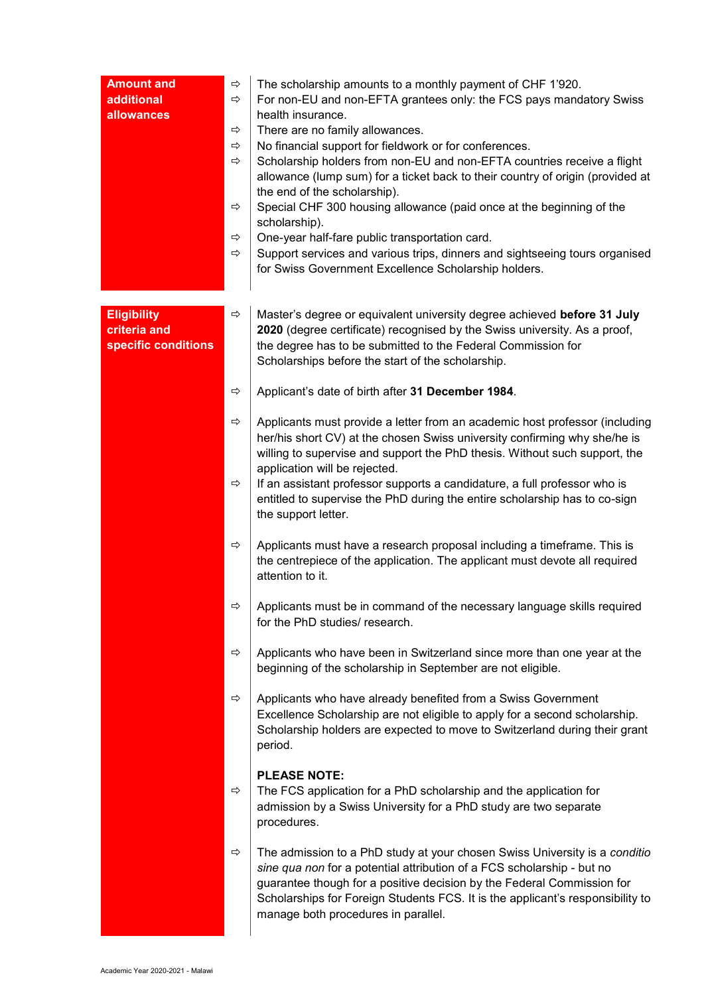| <b>Amount and</b><br>additional<br>allowances             | ⇨<br>⇨<br>⇨<br>⇨<br>⇨<br>⇨<br>⇨<br>⇨ | The scholarship amounts to a monthly payment of CHF 1'920.<br>For non-EU and non-EFTA grantees only: the FCS pays mandatory Swiss<br>health insurance.<br>There are no family allowances.<br>No financial support for fieldwork or for conferences.<br>Scholarship holders from non-EU and non-EFTA countries receive a flight<br>allowance (lump sum) for a ticket back to their country of origin (provided at<br>the end of the scholarship).<br>Special CHF 300 housing allowance (paid once at the beginning of the<br>scholarship).<br>One-year half-fare public transportation card.<br>Support services and various trips, dinners and sightseeing tours organised<br>for Swiss Government Excellence Scholarship holders. |
|-----------------------------------------------------------|--------------------------------------|------------------------------------------------------------------------------------------------------------------------------------------------------------------------------------------------------------------------------------------------------------------------------------------------------------------------------------------------------------------------------------------------------------------------------------------------------------------------------------------------------------------------------------------------------------------------------------------------------------------------------------------------------------------------------------------------------------------------------------|
| <b>Eligibility</b><br>criteria and<br>specific conditions | ⇨                                    | Master's degree or equivalent university degree achieved before 31 July<br>2020 (degree certificate) recognised by the Swiss university. As a proof,<br>the degree has to be submitted to the Federal Commission for<br>Scholarships before the start of the scholarship.                                                                                                                                                                                                                                                                                                                                                                                                                                                          |
|                                                           | $\Rightarrow$                        | Applicant's date of birth after 31 December 1984.                                                                                                                                                                                                                                                                                                                                                                                                                                                                                                                                                                                                                                                                                  |
|                                                           | ⇨<br>⇨                               | Applicants must provide a letter from an academic host professor (including<br>her/his short CV) at the chosen Swiss university confirming why she/he is<br>willing to supervise and support the PhD thesis. Without such support, the<br>application will be rejected.<br>If an assistant professor supports a candidature, a full professor who is                                                                                                                                                                                                                                                                                                                                                                               |
|                                                           |                                      | entitled to supervise the PhD during the entire scholarship has to co-sign<br>the support letter.                                                                                                                                                                                                                                                                                                                                                                                                                                                                                                                                                                                                                                  |
|                                                           | ⇨                                    | Applicants must have a research proposal including a timeframe. This is<br>the centrepiece of the application. The applicant must devote all required<br>attention to it.                                                                                                                                                                                                                                                                                                                                                                                                                                                                                                                                                          |
|                                                           | ⇨                                    | Applicants must be in command of the necessary language skills required<br>for the PhD studies/ research.                                                                                                                                                                                                                                                                                                                                                                                                                                                                                                                                                                                                                          |
|                                                           | ⇨                                    | Applicants who have been in Switzerland since more than one year at the<br>beginning of the scholarship in September are not eligible.                                                                                                                                                                                                                                                                                                                                                                                                                                                                                                                                                                                             |
|                                                           | $\Rightarrow$                        | Applicants who have already benefited from a Swiss Government<br>Excellence Scholarship are not eligible to apply for a second scholarship.<br>Scholarship holders are expected to move to Switzerland during their grant<br>period.                                                                                                                                                                                                                                                                                                                                                                                                                                                                                               |
|                                                           | ⇨                                    | <b>PLEASE NOTE:</b><br>The FCS application for a PhD scholarship and the application for<br>admission by a Swiss University for a PhD study are two separate<br>procedures.                                                                                                                                                                                                                                                                                                                                                                                                                                                                                                                                                        |
|                                                           | ⇨                                    | The admission to a PhD study at your chosen Swiss University is a conditio<br>sine qua non for a potential attribution of a FCS scholarship - but no<br>guarantee though for a positive decision by the Federal Commission for<br>Scholarships for Foreign Students FCS. It is the applicant's responsibility to<br>manage both procedures in parallel.                                                                                                                                                                                                                                                                                                                                                                            |

 $\overline{\phantom{0}}$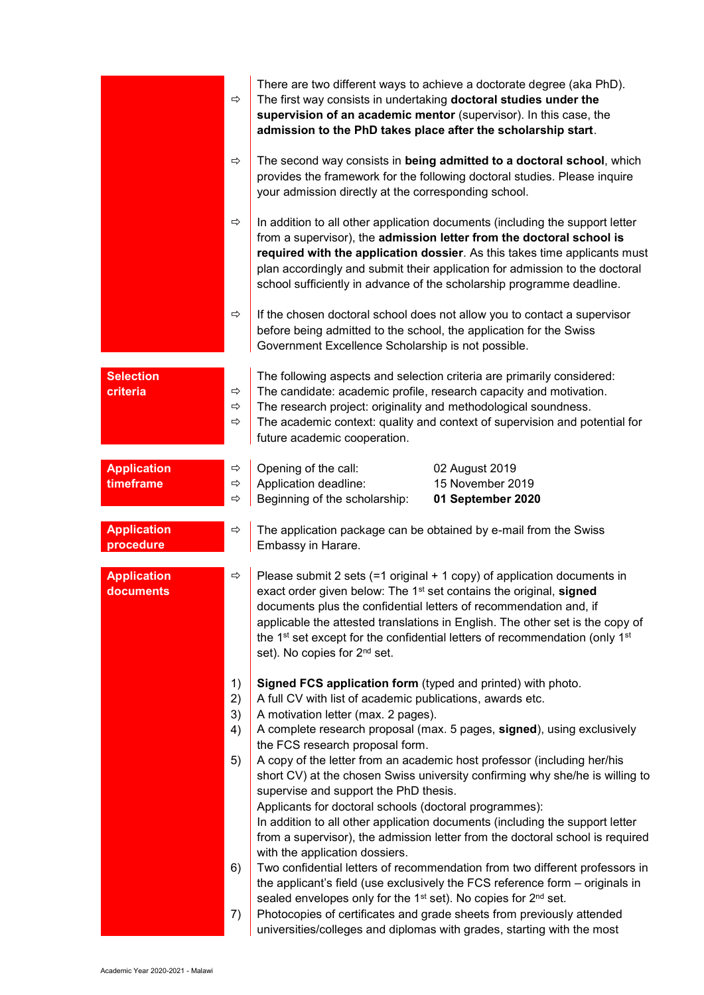|                                 | $\Rightarrow$                       | There are two different ways to achieve a doctorate degree (aka PhD).<br>The first way consists in undertaking doctoral studies under the<br>supervision of an academic mentor (supervisor). In this case, the<br>admission to the PhD takes place after the scholarship start.                                                                                                                                                                                                                                                                                                                                                                                                                                                                                                                                                                                                                              |
|---------------------------------|-------------------------------------|--------------------------------------------------------------------------------------------------------------------------------------------------------------------------------------------------------------------------------------------------------------------------------------------------------------------------------------------------------------------------------------------------------------------------------------------------------------------------------------------------------------------------------------------------------------------------------------------------------------------------------------------------------------------------------------------------------------------------------------------------------------------------------------------------------------------------------------------------------------------------------------------------------------|
|                                 | ⇨                                   | The second way consists in being admitted to a doctoral school, which<br>provides the framework for the following doctoral studies. Please inquire<br>your admission directly at the corresponding school.                                                                                                                                                                                                                                                                                                                                                                                                                                                                                                                                                                                                                                                                                                   |
|                                 | $\Rightarrow$                       | In addition to all other application documents (including the support letter<br>from a supervisor), the admission letter from the doctoral school is<br>required with the application dossier. As this takes time applicants must<br>plan accordingly and submit their application for admission to the doctoral<br>school sufficiently in advance of the scholarship programme deadline.                                                                                                                                                                                                                                                                                                                                                                                                                                                                                                                    |
|                                 | ⇨                                   | If the chosen doctoral school does not allow you to contact a supervisor<br>before being admitted to the school, the application for the Swiss<br>Government Excellence Scholarship is not possible.                                                                                                                                                                                                                                                                                                                                                                                                                                                                                                                                                                                                                                                                                                         |
| <b>Selection</b><br>criteria    | ⇨<br>$\Rightarrow$<br>$\Rightarrow$ | The following aspects and selection criteria are primarily considered:<br>The candidate: academic profile, research capacity and motivation.<br>The research project: originality and methodological soundness.<br>The academic context: quality and context of supervision and potential for<br>future academic cooperation.                                                                                                                                                                                                                                                                                                                                                                                                                                                                                                                                                                                |
| <b>Application</b><br>timeframe | ⇨<br>⇨<br>⇨                         | Opening of the call:<br>02 August 2019<br>Application deadline:<br>15 November 2019<br>Beginning of the scholarship:<br>01 September 2020                                                                                                                                                                                                                                                                                                                                                                                                                                                                                                                                                                                                                                                                                                                                                                    |
| <b>Application</b><br>procedure | ⇨                                   | The application package can be obtained by e-mail from the Swiss<br>Embassy in Harare.                                                                                                                                                                                                                                                                                                                                                                                                                                                                                                                                                                                                                                                                                                                                                                                                                       |
| <b>Application</b><br>documents | ⇨                                   | Please submit 2 sets $(=1 \text{ original} + 1 \text{ copy})$ of application documents in<br>exact order given below: The 1 <sup>st</sup> set contains the original, signed<br>documents plus the confidential letters of recommendation and, if<br>applicable the attested translations in English. The other set is the copy of<br>the 1 <sup>st</sup> set except for the confidential letters of recommendation (only 1 <sup>st</sup><br>set). No copies for 2 <sup>nd</sup> set.                                                                                                                                                                                                                                                                                                                                                                                                                         |
|                                 | 1)<br>2)<br>3)<br>4)<br>5)<br>6)    | Signed FCS application form (typed and printed) with photo.<br>A full CV with list of academic publications, awards etc.<br>A motivation letter (max. 2 pages).<br>A complete research proposal (max. 5 pages, signed), using exclusively<br>the FCS research proposal form.<br>A copy of the letter from an academic host professor (including her/his<br>short CV) at the chosen Swiss university confirming why she/he is willing to<br>supervise and support the PhD thesis.<br>Applicants for doctoral schools (doctoral programmes):<br>In addition to all other application documents (including the support letter<br>from a supervisor), the admission letter from the doctoral school is required<br>with the application dossiers.<br>Two confidential letters of recommendation from two different professors in<br>the applicant's field (use exclusively the FCS reference form - originals in |
|                                 | 7)                                  | sealed envelopes only for the 1 <sup>st</sup> set). No copies for 2 <sup>nd</sup> set.<br>Photocopies of certificates and grade sheets from previously attended<br>universities/colleges and diplomas with grades, starting with the most                                                                                                                                                                                                                                                                                                                                                                                                                                                                                                                                                                                                                                                                    |